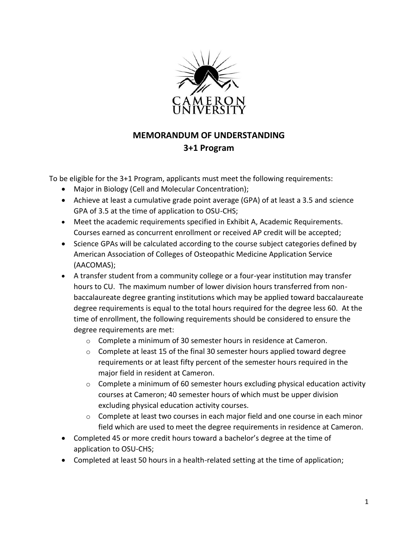

## **MEMORANDUM OF UNDERSTANDING 3+1 Program**

To be eligible for the 3+1 Program, applicants must meet the following requirements:

- Major in Biology (Cell and Molecular Concentration);
- Achieve at least a cumulative grade point average (GPA) of at least a 3.5 and science GPA of 3.5 at the time of application to OSU-CHS;
- Meet the academic requirements specified in Exhibit A, Academic Requirements. Courses earned as concurrent enrollment or received AP credit will be accepted;
- Science GPAs will be calculated according to the course subject categories defined by American Association of Colleges of Osteopathic Medicine Application Service (AACOMAS);
- A transfer student from a community college or a four-year institution may transfer hours to CU. The maximum number of lower division hours transferred from nonbaccalaureate degree granting institutions which may be applied toward baccalaureate degree requirements is equal to the total hours required for the degree less 60. At the time of enrollment, the following requirements should be considered to ensure the degree requirements are met:
	- o Complete a minimum of 30 semester hours in residence at Cameron.
	- $\circ$  Complete at least 15 of the final 30 semester hours applied toward degree requirements or at least fifty percent of the semester hours required in the major field in resident at Cameron.
	- $\circ$  Complete a minimum of 60 semester hours excluding physical education activity courses at Cameron; 40 semester hours of which must be upper division excluding physical education activity courses.
	- o Complete at least two courses in each major field and one course in each minor field which are used to meet the degree requirements in residence at Cameron.
- Completed 45 or more credit hours toward a bachelor's degree at the time of application to OSU-CHS;
- Completed at least 50 hours in a health-related setting at the time of application;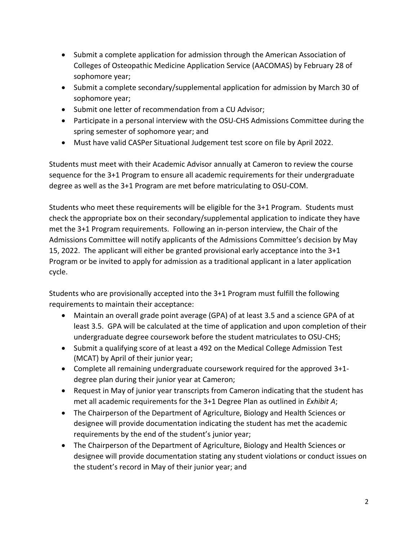- Submit a complete application for admission through the American Association of Colleges of Osteopathic Medicine Application Service (AACOMAS) by February 28 of sophomore year;
- Submit a complete secondary/supplemental application for admission by March 30 of sophomore year;
- Submit one letter of recommendation from a CU Advisor;
- Participate in a personal interview with the OSU-CHS Admissions Committee during the spring semester of sophomore year; and
- Must have valid CASPer Situational Judgement test score on file by April 2022.

Students must meet with their Academic Advisor annually at Cameron to review the course sequence for the 3+1 Program to ensure all academic requirements for their undergraduate degree as well as the 3+1 Program are met before matriculating to OSU-COM.

Students who meet these requirements will be eligible for the 3+1 Program. Students must check the appropriate box on their secondary/supplemental application to indicate they have met the 3+1 Program requirements. Following an in-person interview, the Chair of the Admissions Committee will notify applicants of the Admissions Committee's decision by May 15, 2022. The applicant will either be granted provisional early acceptance into the 3+1 Program or be invited to apply for admission as a traditional applicant in a later application cycle.

Students who are provisionally accepted into the 3+1 Program must fulfill the following requirements to maintain their acceptance:

- Maintain an overall grade point average (GPA) of at least 3.5 and a science GPA of at least 3.5. GPA will be calculated at the time of application and upon completion of their undergraduate degree coursework before the student matriculates to OSU-CHS;
- Submit a qualifying score of at least a 492 on the Medical College Admission Test (MCAT) by April of their junior year;
- Complete all remaining undergraduate coursework required for the approved 3+1 degree plan during their junior year at Cameron;
- Request in May of junior year transcripts from Cameron indicating that the student has met all academic requirements for the 3+1 Degree Plan as outlined in *Exhibit A*;
- The Chairperson of the Department of Agriculture, Biology and Health Sciences or designee will provide documentation indicating the student has met the academic requirements by the end of the student's junior year;
- The Chairperson of the Department of Agriculture, Biology and Health Sciences or designee will provide documentation stating any student violations or conduct issues on the student's record in May of their junior year; and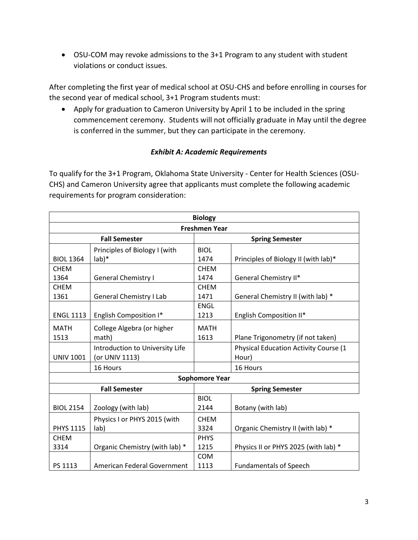• OSU-COM may revoke admissions to the 3+1 Program to any student with student violations or conduct issues.

After completing the first year of medical school at OSU-CHS and before enrolling in courses for the second year of medical school, 3+1 Program students must:

• Apply for graduation to Cameron University by April 1 to be included in the spring commencement ceremony. Students will not officially graduate in May until the degree is conferred in the summer, but they can participate in the ceremony.

## *Exhibit A: Academic Requirements*

To qualify for the 3+1 Program, Oklahoma State University - Center for Health Sciences (OSU-CHS) and Cameron University agree that applicants must complete the following academic requirements for program consideration:

| <b>Biology</b>        |                                 |                        |                                              |  |  |
|-----------------------|---------------------------------|------------------------|----------------------------------------------|--|--|
| <b>Freshmen Year</b>  |                                 |                        |                                              |  |  |
| <b>Fall Semester</b>  |                                 | <b>Spring Semester</b> |                                              |  |  |
|                       | Principles of Biology I (with   | <b>BIOL</b>            |                                              |  |  |
| <b>BIOL 1364</b>      | $lab)*$                         | 1474                   | Principles of Biology II (with lab)*         |  |  |
| <b>CHEM</b>           |                                 | <b>CHEM</b>            |                                              |  |  |
| 1364                  | <b>General Chemistry I</b>      | 1474                   | General Chemistry II*                        |  |  |
| <b>CHEM</b>           |                                 | <b>CHEM</b>            |                                              |  |  |
| 1361                  | <b>General Chemistry I Lab</b>  | 1471                   | General Chemistry II (with lab) *            |  |  |
|                       |                                 | <b>ENGL</b>            |                                              |  |  |
| <b>ENGL 1113</b>      | English Composition I*          | 1213                   | English Composition II*                      |  |  |
| <b>MATH</b>           | College Algebra (or higher      | <b>MATH</b>            |                                              |  |  |
| 1513                  | math)                           | 1613                   | Plane Trigonometry (if not taken)            |  |  |
|                       | Introduction to University Life |                        | <b>Physical Education Activity Course (1</b> |  |  |
| <b>UNIV 1001</b>      | (or UNIV 1113)                  |                        | Hour)                                        |  |  |
|                       | 16 Hours                        |                        | 16 Hours                                     |  |  |
| <b>Sophomore Year</b> |                                 |                        |                                              |  |  |
| <b>Fall Semester</b>  |                                 | <b>Spring Semester</b> |                                              |  |  |
|                       |                                 | <b>BIOL</b>            |                                              |  |  |
| <b>BIOL 2154</b>      | Zoology (with lab)              | 2144                   | Botany (with lab)                            |  |  |
|                       | Physics I or PHYS 2015 (with    | <b>CHEM</b>            |                                              |  |  |
| <b>PHYS 1115</b>      | lab)                            | 3324                   | Organic Chemistry II (with lab) *            |  |  |
| <b>CHEM</b>           |                                 | <b>PHYS</b>            |                                              |  |  |
| 3314                  | Organic Chemistry (with lab) *  | 1215                   | Physics II or PHYS 2025 (with lab) *         |  |  |
|                       |                                 | <b>COM</b>             |                                              |  |  |
| PS 1113               | American Federal Government     | 1113                   | <b>Fundamentals of Speech</b>                |  |  |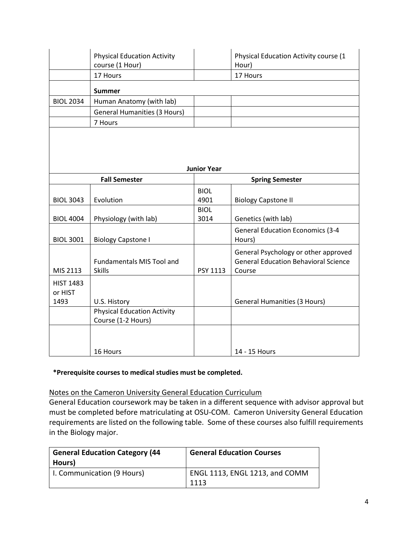|                             | <b>Physical Education Activity</b><br>course (1 Hour)                    |                     | Physical Education Activity course (1<br>Hour)                                                |  |  |  |
|-----------------------------|--------------------------------------------------------------------------|---------------------|-----------------------------------------------------------------------------------------------|--|--|--|
|                             | 17 Hours                                                                 |                     | 17 Hours                                                                                      |  |  |  |
|                             | <b>Summer</b>                                                            |                     |                                                                                               |  |  |  |
| <b>BIOL 2034</b>            | Human Anatomy (with lab)                                                 |                     |                                                                                               |  |  |  |
|                             | <b>General Humanities (3 Hours)</b>                                      |                     |                                                                                               |  |  |  |
|                             | 7 Hours                                                                  |                     |                                                                                               |  |  |  |
| <b>Junior Year</b>          |                                                                          |                     |                                                                                               |  |  |  |
| <b>Fall Semester</b>        |                                                                          |                     | <b>Spring Semester</b>                                                                        |  |  |  |
| <b>BIOL 3043</b>            | Evolution                                                                | <b>BIOL</b><br>4901 | <b>Biology Capstone II</b>                                                                    |  |  |  |
| <b>BIOL 4004</b>            | Physiology (with lab)                                                    | <b>BIOL</b><br>3014 | Genetics (with lab)                                                                           |  |  |  |
| <b>BIOL 3001</b>            | <b>Biology Capstone I</b>                                                |                     | <b>General Education Economics (3-4</b><br>Hours)                                             |  |  |  |
| MIS 2113                    | Fundamentals MIS Tool and<br><b>Skills</b>                               | PSY 1113            | General Psychology or other approved<br><b>General Education Behavioral Science</b><br>Course |  |  |  |
| <b>HIST 1483</b><br>or HIST |                                                                          |                     |                                                                                               |  |  |  |
| 1493                        | U.S. History<br><b>Physical Education Activity</b><br>Course (1-2 Hours) |                     | <b>General Humanities (3 Hours)</b>                                                           |  |  |  |
|                             | 16 Hours                                                                 |                     | 14 - 15 Hours                                                                                 |  |  |  |

## **\*Prerequisite courses to medical studies must be completed.**

## Notes on the Cameron University General Education Curriculum

General Education coursework may be taken in a different sequence with advisor approval but must be completed before matriculating at OSU-COM. Cameron University General Education requirements are listed on the following table. Some of these courses also fulfill requirements in the Biology major.

| <b>General Education Category (44</b><br>Hours) | <b>General Education Courses</b>       |
|-------------------------------------------------|----------------------------------------|
| I. Communication (9 Hours)                      | ENGL 1113, ENGL 1213, and COMM<br>1113 |